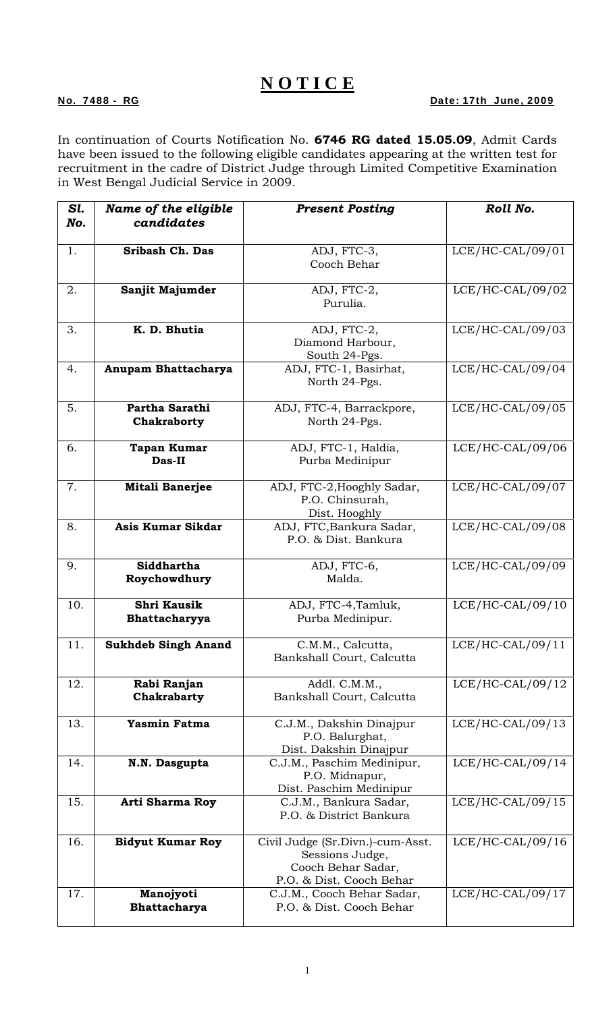## **N O T I C E**

## No. 7488 - RG Date: 17th June, 2009

In continuation of Courts Notification No. **6746 RG dated 15.05.09**, Admit Cards have been issued to the following eligible candidates appearing at the written test for recruitment in the cadre of District Judge through Limited Competitive Examination in West Bengal Judicial Service in 2009.

| Sl.<br>No. | Name of the eligible<br>candidates  | <b>Present Posting</b>                                                                                | Roll No.           |
|------------|-------------------------------------|-------------------------------------------------------------------------------------------------------|--------------------|
| 1.         | <b>Sribash Ch. Das</b>              | ADJ, FTC-3,<br>Cooch Behar                                                                            | $LCE/HC-CAL/09/01$ |
| 2.         | Sanjit Majumder                     | ADJ, FTC-2,<br>Purulia.                                                                               | $LCE/HC-CAL/09/02$ |
| 3.         | K. D. Bhutia                        | ADJ, FTC-2,<br>Diamond Harbour,<br>South 24-Pgs.                                                      | LCE/HC-CAL/09/03   |
| 4.         | Anupam Bhattacharya                 | ADJ, FTC-1, Basirhat,<br>North 24-Pgs.                                                                | LCE/HC-CAL/09/04   |
| 5.         | Partha Sarathi<br>Chakraborty       | ADJ, FTC-4, Barrackpore,<br>North 24-Pgs.                                                             | $LCE/HC-CAL/09/05$ |
| 6.         | <b>Tapan Kumar</b><br>Das-II        | ADJ, FTC-1, Haldia,<br>Purba Medinipur                                                                | LCE/HC-CAL/09/06   |
| 7.         | <b>Mitali Banerjee</b>              | ADJ, FTC-2, Hooghly Sadar,<br>P.O. Chinsurah,<br>Dist. Hooghly                                        | LCE/HC-CAL/09/07   |
| 8.         | Asis Kumar Sikdar                   | ADJ, FTC, Bankura Sadar,<br>P.O. & Dist. Bankura                                                      | LCE/HC-CAL/09/08   |
| 9.         | Siddhartha<br>Roychowdhury          | ADJ, FTC-6,<br>Malda.                                                                                 | LCE/HC-CAL/09/09   |
| 10.        | <b>Shri Kausik</b><br>Bhattacharyya | ADJ, FTC-4, Tamluk,<br>Purba Medinipur.                                                               | $LCE/HC-CAL/09/10$ |
| 11.        | <b>Sukhdeb Singh Anand</b>          | C.M.M., Calcutta,<br>Bankshall Court, Calcutta                                                        | $LCE/HC-CAL/09/11$ |
| 12.        | Rabi Ranjan<br>Chakrabarty          | Addl. C.M.M.,<br>Bankshall Court, Calcutta                                                            | $LCE/HC-CAL/09/12$ |
| 13.        | <b>Yasmin Fatma</b>                 | C.J.M., Dakshin Dinajpur<br>P.O. Balurghat,<br>Dist. Dakshin Dinajpur                                 | $LCE/HC-CAL/09/13$ |
| 14.        | N.N. Dasgupta                       | C.J.M., Paschim Medinipur,<br>P.O. Midnapur,<br>Dist. Paschim Medinipur                               | $LCE/HC-CAL/09/14$ |
| 15.        | <b>Arti Sharma Roy</b>              | C.J.M., Bankura Sadar,<br>P.O. & District Bankura                                                     | $LCE/HC-CAL/09/15$ |
| 16.        | <b>Bidyut Kumar Roy</b>             | Civil Judge (Sr.Divn.)-cum-Asst.<br>Sessions Judge,<br>Cooch Behar Sadar,<br>P.O. & Dist. Cooch Behar | $LCE/HC-CAL/09/16$ |
| 17.        | Manojyoti<br>Bhattacharya           | C.J.M., Cooch Behar Sadar,<br>P.O. & Dist. Cooch Behar                                                | $LCE/HC-CAL/09/17$ |